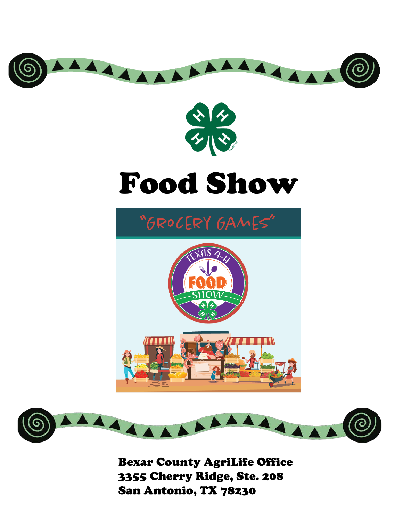

Bexar County AgriLife Office 3355 Cherry Ridge, Ste. 208 San Antonio, TX 78230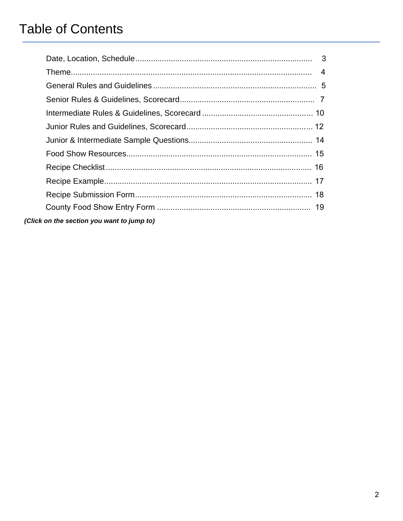# **Table of Contents**

<span id="page-1-0"></span>

| (Click on the section you want to jump to) |  |
|--------------------------------------------|--|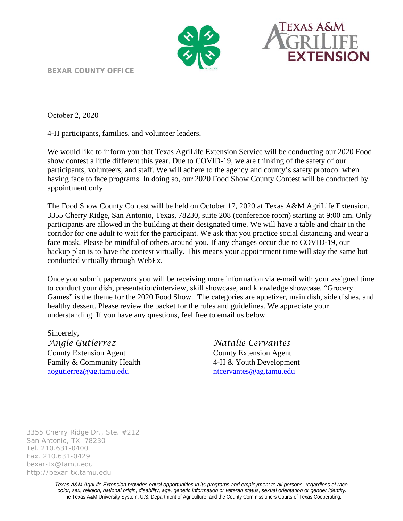



<span id="page-2-0"></span>**BEXAR COUNTY OFFICE** 

October 2, 2020

4-H participants, families, and volunteer leaders,

We would like to inform you that Texas AgriLife Extension Service will be conducting our 2020 Food show contest a little different this year. Due to COVID-19, we are thinking of the safety of our participants, volunteers, and staff. We will adhere to the agency and county's safety protocol when having face to face programs. In doing so, our 2020 Food Show County Contest will be conducted by appointment only.

The Food Show County Contest will be held on October 17, 2020 at Texas A&M AgriLife Extension, 3355 Cherry Ridge, San Antonio, Texas, 78230, suite 208 (conference room) starting at 9:00 am. Only participants are allowed in the building at their designated time. We will have a table and chair in the corridor for one adult to wait for the participant. We ask that you practice social distancing and wear a face mask. Please be mindful of others around you. If any changes occur due to COVID-19, our backup plan is to have the contest virtually. This means your appointment time will stay the same but conducted virtually through WebEx.

Once you submit paperwork you will be receiving more information via e-mail with your assigned time to conduct your dish, presentation/interview, skill showcase, and knowledge showcase. "Grocery Games" is the theme for the 2020 Food Show. The categories are appetizer, main dish, side dishes, and healthy dessert. Please review the packet for the rules and guidelines. We appreciate your understanding. If you have any questions, feel free to email us below.

Sincerely, *Angie Gutierrez Natalie Cervantes* County Extension Agent County Extension Agent Family & Community Health 4-H & Youth Development [aogutierrez@ag.tamu.edu](mailto:aogutierrez@ag.tamu.edu) [ntcervantes@ag.tamu.edu](mailto:ntcervantes@ag.tamu.edu)

3355 Cherry Ridge Dr., Ste. #212 San Antonio, TX 78230 Tel. 210.631-0400 Fax. 210.631-0429 bexar-tx@tamu.edu http://bexar-tx.tamu.edu

> *Texas A&M AgriLife Extension provides equal opportunities in its programs and employment to all persons, regardless of race, color, sex, religion, national origin, disability, age, genetic information or veteran status, sexual orientation or gender identity.* The Texas A&M University System, U.S. Department of Agriculture, and the County Commissioners Courts of Texas Cooperating.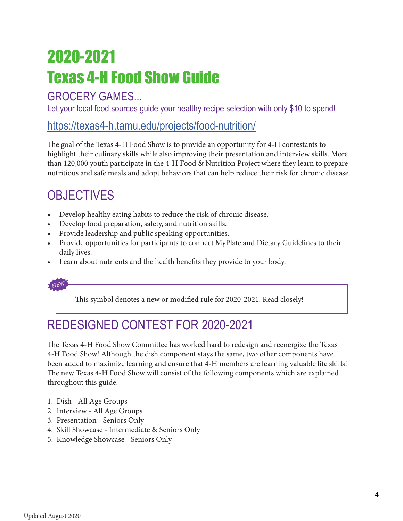# <span id="page-3-0"></span>Texas 4-H Food Show Guide 2020-2021

### GROCERY GAMES...

Let your local food sources quide your healthy recipe selection with only \$10 to spend!

### https://texas4-h.tamu.edu/projects/food-nutrition/

The goal of the Texas 4-H Food Show is to provide an opportunity for 4-H contestants to highlight their culinary skills while also improving their presentation and interview skills. More than 120,000 youth participate in the 4-H Food & Nutrition Project where they learn to prepare nutritious and safe meals and adopt behaviors that can help reduce their risk for chronic disease.

### **OBJECTIVES**

- Develop healthy eating habits to reduce the risk of chronic disease.
- Develop food preparation, safety, and nutrition skills.
- Provide leadership and public speaking opportunities.
- Provide opportunities for participants to connect MyPlate and Dietary Guidelines to their daily lives.
- Learn about nutrients and the health benefits they provide to your body.

NEW

This symbol denotes a new or modified rule for 2020-2021. Read closely!

# REDESIGNED CONTEST FOR 2020-2021

The Texas 4-H Food Show Committee has worked hard to redesign and reenergize the Texas 4-H Food Show! Although the dish component stays the same, two other components have been added to maximize learning and ensure that 4-H members are learning valuable life skills! The new Texas 4-H Food Show will consist of the following components which are explained throughout this guide:

- 1. Dish All Age Groups
- 2. Interview All Age Groups
- 3. Presentation Seniors Only
- 4. Skill Showcase Intermediate & Seniors Only
- 5. Knowledge Showcase Seniors Only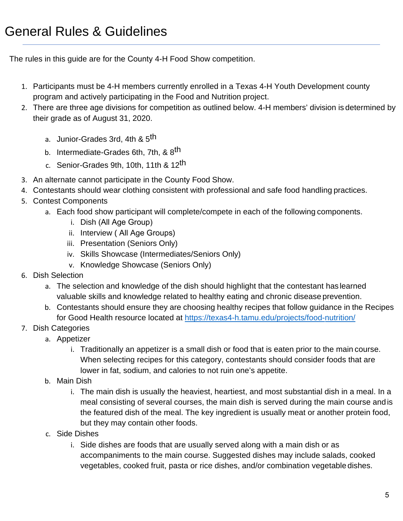<span id="page-4-0"></span>The rules in this guide are for the County 4-H Food Show competition.

- 1. Participants must be 4-H members currently enrolled in a Texas 4-H Youth Development county program and actively participating in the Food and Nutrition project.
- 2. There are three age divisions for competition as outlined below. 4-H members' division is determined by their grade as of August 31, 2020.
	- a. Junior-Grades 3rd, 4th & 5<sup>th</sup>
	- b. Intermediate-Grades 6th, 7th, & 8<sup>th</sup>
	- c. Senior-Grades 9th, 10th, 11th & 12<sup>th</sup>
- 3. An alternate cannot participate in the County Food Show.
- 4. Contestants should wear clothing consistent with professional and safe food handling practices.
- 5. Contest Components
	- a. Each food show participant will complete/compete in each of the following components.
		- i. Dish (All Age Group)
		- ii. Interview ( All Age Groups)
		- iii. Presentation (Seniors Only)
		- iv. Skills Showcase (Intermediates/Seniors Only)
		- v. Knowledge Showcase (Seniors Only)
- 6. Dish Selection
	- a. The selection and knowledge of the dish should highlight that the contestant has learned valuable skills and knowledge related to healthy eating and chronic disease prevention.
	- b. Contestants should ensure they are choosing healthy recipes that follow guidance in the [Recipes](https://texas4-h.tamu.edu/projects/food-nutrition/) [for Good](https://texas4-h.tamu.edu/projects/food-nutrition/) Health resource located at [https://texas4-h.tamu.edu/projects/food-n](https://texas4-h.tamu.edu/projects/food-nutrition/)utrition/
- 7. Dish Categories
	- a. Appetizer
		- i. Traditionally an appetizer is a small dish or food that is eaten prior to the main course. When selecting recipes for this category, contestants should consider foods that are lower in fat, sodium, and calories to not ruin one's appetite.
	- b. Main Dish
		- i. The main dish is usually the heaviest, heartiest, and most substantial dish in a meal. In a meal consisting of several courses, the main dish is served during the main course andis the featured dish of the meal. The key ingredient is usually meat or another protein food, but they may contain other foods.
	- c. Side Dishes
		- i. Side dishes are foods that are usually served along with a main dish or as accompaniments to the main course. Suggested dishes may include salads, cooked vegetables, cooked fruit, pasta or rice dishes, and/or combination vegetable dishes.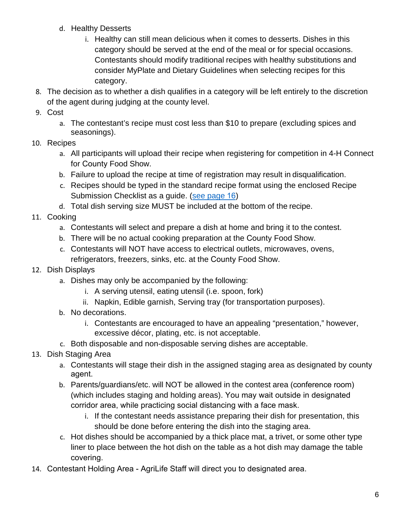- d. Healthy Desserts
	- i. Healthy can still mean delicious when it comes to desserts. Dishes in this category should be served at the end of the meal or for special occasions. Contestants should modify traditional recipes with healthy substitutions and consider MyPlate and Dietary Guidelines when selecting recipes for this category.
- 8. The decision as to whether a dish qualifies in a category will be left entirely to the discretion of the agent during judging at the county level.
- 9. Cost
	- a. The contestant's recipe must cost less than \$10 to prepare (excluding spices and seasonings).
- 10. Recipes
	- a. All participants will upload their recipe when registering for competition in 4-H Connect for County Food Show.
	- b. Failure to upload the recipe at time of registration may result in disqualification.
	- c. Recipes should be typed in the standard recipe format using the enclosed Recipe Submission Checklist as a guide. [\(see page](#page-15-0) 16)
	- d. Total dish serving size MUST be included at the bottom of the recipe.
- 11. Cooking
	- a. Contestants will select and prepare a dish at home and bring it to the contest.
	- b. There will be no actual cooking preparation at the County Food Show.
	- c. Contestants will NOT have access to electrical outlets, microwaves, ovens, refrigerators, freezers, sinks, etc. at the County Food Show.
- 12. Dish Displays
	- a. Dishes may only be accompanied by the following:
		- i. A serving utensil, eating utensil (i.e. spoon, fork)
		- ii. Napkin, Edible garnish, Serving tray (for transportation purposes).
	- b. No decorations.
		- i. Contestants are encouraged to have an appealing "presentation," however, excessive décor, plating, etc. is not acceptable.
	- c. Both disposable and non-disposable serving dishes are acceptable.
- 13. Dish Staging Area
	- a. Contestants will stage their dish in the assigned staging area as designated by county agent.
	- b. Parents/guardians/etc. will NOT be allowed in the contest area (conference room) (which includes staging and holding areas). You may wait outside in designated corridor area, while practicing social distancing with a face mask.
		- i. If the contestant needs assistance preparing their dish for presentation, this should be done before entering the dish into the staging area.
	- c. Hot dishes should be accompanied by a thick place mat, a trivet, or some other type liner to place between the hot dish on the table as a hot dish may damage the table covering.
- 14. Contestant Holding Area AgriLife Staff will direct you to designated area.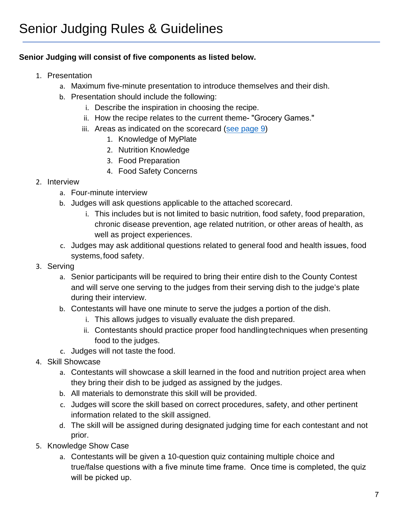#### <span id="page-6-0"></span>**Senior Judging will consist of five components as listed below.**

- 1. Presentation
	- a. Maximum five-minute presentation to introduce themselves and their dish.
	- b. Presentation should include the following:
		- i. Describe the inspiration in choosing the recipe.
		- ii. How the recipe relates to the current theme- "Grocery Games."
		- iii. Areas as indicated on the scorecard [\(see page](#page-8-0) 9)
			- 1. Knowledge of MyPlate
			- 2. Nutrition Knowledge
			- 3. Food Preparation
			- 4. Food Safety Concerns
- 2. Interview
	- a. Four-minute interview
	- b. Judges will ask questions applicable to the attached scorecard.
		- i. This includes but is not limited to basic nutrition, food safety, food preparation, chronic disease prevention, age related nutrition, or other areas of health, as well as project experiences.
	- c. Judges may ask additional questions related to general food and health issues, food systems, food safety.
- 3. Serving
	- a. Senior participants will be required to bring their entire dish to the County Contest and will serve one serving to the judges from their serving dish to the judge's plate during their interview.
	- b. Contestants will have one minute to serve the judges a portion of the dish.
		- i. This allows judges to visually evaluate the dish prepared.
		- ii. Contestants should practice proper food handlingtechniques when presenting food to the judges.
	- c. Judges will not taste the food.
- 4. Skill Showcase
	- a. Contestants will showcase a skill learned in the food and nutrition project area when they bring their dish to be judged as assigned by the judges.
	- b. All materials to demonstrate this skill will be provided.
	- c. Judges will score the skill based on correct procedures, safety, and other pertinent information related to the skill assigned.
	- d. The skill will be assigned during designated judging time for each contestant and not prior.
- 5. Knowledge Show Case
	- a. Contestants will be given a 10-question quiz containing multiple choice and true/false questions with a five minute time frame. Once time is completed, the quiz will be picked up.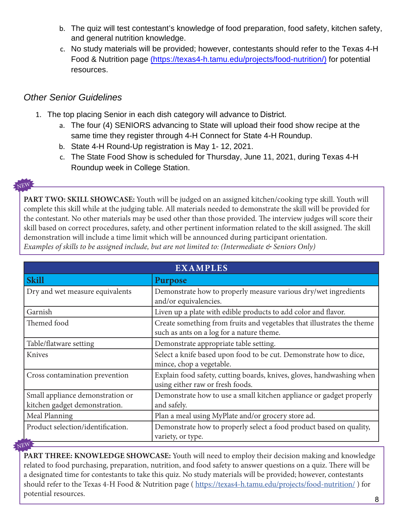- b. The quiz will test contestant's knowledge of food preparation, food safety, kitchen safety, and general nutrition knowledge.
- c. No study materials will be provided; however, contestants should refer to the Texas 4-H Food & Nutrition page (https://texas4-h.tamu.edu/projects/food-nutrition/) for potential resources.

#### *Other Senior Guidelines*

- 1. The top placing Senior in each dish category will advance to District.
	- a. The four (4) SENIORS advancing to State will upload their food show recipe at the same time they register through 4-H Connect for State 4-H Roundup.
	- b. State 4-H Round-Up registration is May 1- 12, 2021.
	- c. The State Food Show is scheduled for Thursday, June 11, 2021, during Texas 4-H Roundup week in College Station.

#### NEW

**PART TWO: SKILL SHOWCASE:** Youth will be judged on an assigned kitchen/cooking type skill. Youth will complete this skill while at the judging table. All materials needed to demonstrate the skill will be provided for the contestant. No other materials may be used other than those provided. The interview judges will score their skill based on correct procedures, safety, and other pertinent information related to the skill assigned. The skill demonstration will include a time limit which will be announced during participant orientation. *Examples of skills to be assigned include, but are not limited to: (Intermediate & Seniors Only)*

| <b>EXAMPLES</b>                                                                                                     |  |  |  |  |  |
|---------------------------------------------------------------------------------------------------------------------|--|--|--|--|--|
| <b>Purpose</b>                                                                                                      |  |  |  |  |  |
| Demonstrate how to properly measure various dry/wet ingredients<br>and/or equivalencies.                            |  |  |  |  |  |
| Liven up a plate with edible products to add color and flavor.                                                      |  |  |  |  |  |
| Create something from fruits and vegetables that illustrates the theme<br>such as ants on a log for a nature theme. |  |  |  |  |  |
| Demonstrate appropriate table setting.                                                                              |  |  |  |  |  |
| Select a knife based upon food to be cut. Demonstrate how to dice,<br>mince, chop a vegetable.                      |  |  |  |  |  |
| Explain food safety, cutting boards, knives, gloves, handwashing when<br>using either raw or fresh foods.           |  |  |  |  |  |
| Demonstrate how to use a small kitchen appliance or gadget properly<br>and safely.                                  |  |  |  |  |  |
| Plan a meal using MyPlate and/or grocery store ad.                                                                  |  |  |  |  |  |
| Demonstrate how to properly select a food product based on quality,<br>variety, or type.                            |  |  |  |  |  |
|                                                                                                                     |  |  |  |  |  |

**PART THREE: KNOWLEDGE SHOWCASE:** Youth will need to employ their decision making and knowledge related to food purchasing, preparation, nutrition, and food safety to answer questions on a quiz. There will be a designated time for contestants to take this quiz. No study materials will be provided; however, contestants should refer to the Texas 4-H Food & Nutrition page (https://texas4-h.tamu.edu/projects/food-nutrition/) for potential resources.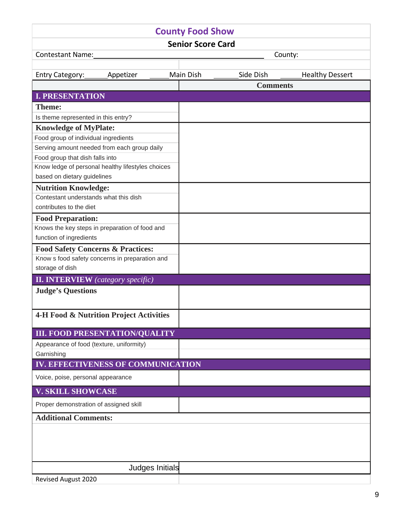<span id="page-8-1"></span><span id="page-8-0"></span>

| <b>County Food Show</b>                            |                                        |                 |           |                 |                        |  |  |  |
|----------------------------------------------------|----------------------------------------|-----------------|-----------|-----------------|------------------------|--|--|--|
| <b>Senior Score Card</b>                           |                                        |                 |           |                 |                        |  |  |  |
| Contestant Name:                                   |                                        |                 |           |                 | County:                |  |  |  |
|                                                    |                                        |                 |           |                 |                        |  |  |  |
| Entry Category: ______ Appetizer                   |                                        |                 | Main Dish | Side Dish       | <b>Healthy Dessert</b> |  |  |  |
|                                                    |                                        |                 |           | <b>Comments</b> |                        |  |  |  |
| <b>I. PRESENTATION</b>                             |                                        |                 |           |                 |                        |  |  |  |
| <b>Theme:</b>                                      |                                        |                 |           |                 |                        |  |  |  |
| Is theme represented in this entry?                |                                        |                 |           |                 |                        |  |  |  |
| <b>Knowledge of MyPlate:</b>                       |                                        |                 |           |                 |                        |  |  |  |
| Food group of individual ingredients               |                                        |                 |           |                 |                        |  |  |  |
| Serving amount needed from each group daily        |                                        |                 |           |                 |                        |  |  |  |
| Food group that dish falls into                    |                                        |                 |           |                 |                        |  |  |  |
| Know ledge of personal healthy lifestyles choices  |                                        |                 |           |                 |                        |  |  |  |
| based on dietary guidelines                        |                                        |                 |           |                 |                        |  |  |  |
| <b>Nutrition Knowledge:</b>                        |                                        |                 |           |                 |                        |  |  |  |
| Contestant understands what this dish              |                                        |                 |           |                 |                        |  |  |  |
| contributes to the diet                            |                                        |                 |           |                 |                        |  |  |  |
| <b>Food Preparation:</b>                           |                                        |                 |           |                 |                        |  |  |  |
| Knows the key steps in preparation of food and     |                                        |                 |           |                 |                        |  |  |  |
| function of ingredients                            |                                        |                 |           |                 |                        |  |  |  |
| <b>Food Safety Concerns &amp; Practices:</b>       |                                        |                 |           |                 |                        |  |  |  |
| Know s food safety concerns in preparation and     |                                        |                 |           |                 |                        |  |  |  |
| storage of dish                                    |                                        |                 |           |                 |                        |  |  |  |
| <b>II. INTERVIEW</b> (category specific)           |                                        |                 |           |                 |                        |  |  |  |
| <b>Judge's Questions</b>                           |                                        |                 |           |                 |                        |  |  |  |
|                                                    |                                        |                 |           |                 |                        |  |  |  |
| <b>4-H Food &amp; Nutrition Project Activities</b> |                                        |                 |           |                 |                        |  |  |  |
|                                                    |                                        |                 |           |                 |                        |  |  |  |
| <b>III. FOOD PRESENTATION/QUALITY</b>              |                                        |                 |           |                 |                        |  |  |  |
| Appearance of food (texture, uniformity)           |                                        |                 |           |                 |                        |  |  |  |
| Garnishing                                         |                                        |                 |           |                 |                        |  |  |  |
| IV. EFFECTIVENESS OF COMMUNICATION                 |                                        |                 |           |                 |                        |  |  |  |
| Voice, poise, personal appearance                  |                                        |                 |           |                 |                        |  |  |  |
| <b>V. SKILL SHOWCASE</b>                           |                                        |                 |           |                 |                        |  |  |  |
|                                                    | Proper demonstration of assigned skill |                 |           |                 |                        |  |  |  |
| <b>Additional Comments:</b>                        |                                        |                 |           |                 |                        |  |  |  |
|                                                    |                                        |                 |           |                 |                        |  |  |  |
|                                                    |                                        |                 |           |                 |                        |  |  |  |
|                                                    |                                        |                 |           |                 |                        |  |  |  |
|                                                    |                                        |                 |           |                 |                        |  |  |  |
|                                                    |                                        | Judges Initials |           |                 |                        |  |  |  |
| Revised August 2020                                |                                        |                 |           |                 |                        |  |  |  |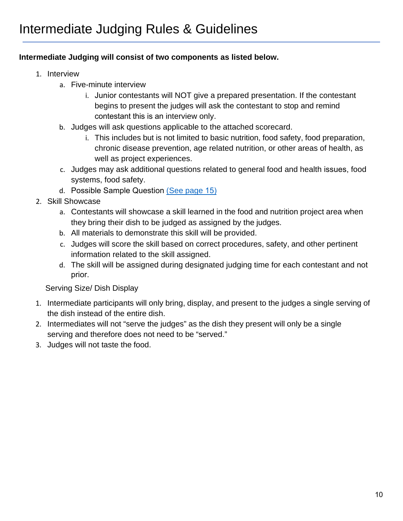#### <span id="page-9-0"></span>**Intermediate Judging will consist of two components as listed below.**

- 1. Interview
	- a. Five-minute interview
		- i. Junior contestants will NOT give a prepared presentation. If the contestant begins to present the judges will ask the contestant to stop and remind contestant this is an interview only.
	- b. Judges will ask questions applicable to the attached scorecard.
		- i. This includes but is not limited to basic nutrition, food safety, food preparation, chronic disease prevention, age related nutrition, or other areas of health, as well as project experiences.
	- c. Judges may ask additional questions related to general food and health issues, food systems, food safety.
	- d. [Possible Samp](#page-11-0)le Question (See page 15)
- 2. Skill Showcase
	- a. Contestants will showcase a skill learned in the food and nutrition project area when they bring their dish to be judged as assigned by the judges.
	- b. All materials to demonstrate this skill will be provided.
	- c. Judges will score the skill based on correct procedures, safety, and other pertinent information related to the skill assigned.
	- d. The skill will be assigned during designated judging time for each contestant and not prior.

Serving Size/ Dish Display

- 1. Intermediate participants will only bring, display, and present to the judges a single serving of the dish instead of the entire dish.
- 2. Intermediates will not "serve the judges" as the dish they present will only be a single serving and therefore does not need to be "served."
- 3. Judges will not taste the food.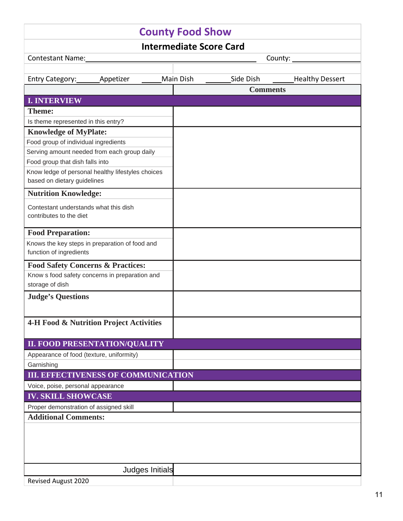| <b>County Food Show</b>                                                          |           |                 |           |  |                 |         |                        |
|----------------------------------------------------------------------------------|-----------|-----------------|-----------|--|-----------------|---------|------------------------|
| <b>Intermediate Score Card</b>                                                   |           |                 |           |  |                 |         |                        |
| Contestant Name:                                                                 |           |                 |           |  |                 | County: |                        |
|                                                                                  |           |                 |           |  |                 |         |                        |
| Entry Category:                                                                  | Appetizer |                 | Main Dish |  | Side Dish       |         | <b>Healthy Dessert</b> |
|                                                                                  |           |                 |           |  | <b>Comments</b> |         |                        |
| <b>I. INTERVIEW</b>                                                              |           |                 |           |  |                 |         |                        |
| <b>Theme:</b>                                                                    |           |                 |           |  |                 |         |                        |
| Is theme represented in this entry?                                              |           |                 |           |  |                 |         |                        |
| <b>Knowledge of MyPlate:</b>                                                     |           |                 |           |  |                 |         |                        |
| Food group of individual ingredients                                             |           |                 |           |  |                 |         |                        |
| Serving amount needed from each group daily                                      |           |                 |           |  |                 |         |                        |
| Food group that dish falls into                                                  |           |                 |           |  |                 |         |                        |
| Know ledge of personal healthy lifestyles choices<br>based on dietary guidelines |           |                 |           |  |                 |         |                        |
| <b>Nutrition Knowledge:</b>                                                      |           |                 |           |  |                 |         |                        |
| Contestant understands what this dish<br>contributes to the diet                 |           |                 |           |  |                 |         |                        |
| <b>Food Preparation:</b>                                                         |           |                 |           |  |                 |         |                        |
| Knows the key steps in preparation of food and<br>function of ingredients        |           |                 |           |  |                 |         |                        |
| <b>Food Safety Concerns &amp; Practices:</b>                                     |           |                 |           |  |                 |         |                        |
| Know s food safety concerns in preparation and                                   |           |                 |           |  |                 |         |                        |
| storage of dish                                                                  |           |                 |           |  |                 |         |                        |
| <b>Judge's Questions</b>                                                         |           |                 |           |  |                 |         |                        |
|                                                                                  |           |                 |           |  |                 |         |                        |
| <b>4-H Food &amp; Nutrition Project Activities</b>                               |           |                 |           |  |                 |         |                        |
| <b>II. FOOD PRESENTATION/QUALITY</b>                                             |           |                 |           |  |                 |         |                        |
| Appearance of food (texture, uniformity)                                         |           |                 |           |  |                 |         |                        |
| Garnishing                                                                       |           |                 |           |  |                 |         |                        |
| <b>III. EFFECTIVENESS OF COMMUNICATION</b>                                       |           |                 |           |  |                 |         |                        |
| Voice, poise, personal appearance                                                |           |                 |           |  |                 |         |                        |
| <b>IV. SKILL SHOWCASE</b>                                                        |           |                 |           |  |                 |         |                        |
| Proper demonstration of assigned skill                                           |           |                 |           |  |                 |         |                        |
| <b>Additional Comments:</b>                                                      |           |                 |           |  |                 |         |                        |
|                                                                                  |           |                 |           |  |                 |         |                        |
|                                                                                  |           |                 |           |  |                 |         |                        |
|                                                                                  |           |                 |           |  |                 |         |                        |
|                                                                                  |           |                 |           |  |                 |         |                        |
|                                                                                  |           | Judges Initials |           |  |                 |         |                        |
| <b>Revised August 2020</b>                                                       |           |                 |           |  |                 |         |                        |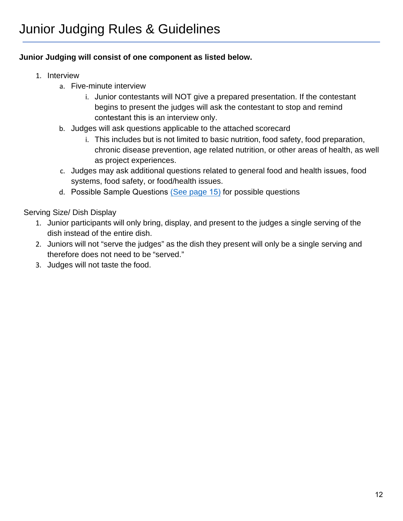#### <span id="page-11-0"></span>**Junior Judging will consist of one component as listed below.**

- 1. Interview
	- a. Five-minute interview
		- i. Junior contestants will NOT give a prepared presentation. If the contestant begins to present the judges will ask the contestant to stop and remind contestant this is an interview only.
	- b. Judges will ask questions applicable to the attached scorecard
		- i. This includes but is not limited to basic nutrition, food safety, food preparation, chronic disease prevention, age related nutrition, or other areas of health, as well as project experiences.
	- c. Judges may ask additional questions related to general food and health issues, food systems, food safety, or food/health issues.
	- d. [Possible Sam](#page-11-0)[p](#page-13-0)le Questions (See page 15) for possible questions

Serving Size/ Dish Display

- 1. Junior participants will only bring, display, and present to the judges a single serving of the dish instead of the entire dish.
- 2. Juniors will not "serve the judges" as the dish they present will only be a single serving and therefore does not need to be "served."
- 3. Judges will not taste the food.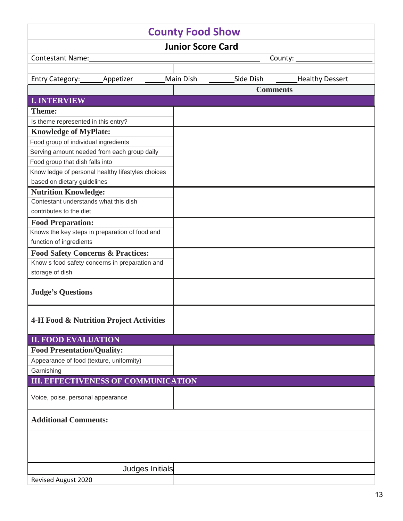| <b>County Food Show</b>                            |                 |  |           |  |           |                 |                        |  |
|----------------------------------------------------|-----------------|--|-----------|--|-----------|-----------------|------------------------|--|
| <b>Junior Score Card</b>                           |                 |  |           |  |           |                 |                        |  |
| Contestant Name:                                   |                 |  |           |  |           | County:         |                        |  |
|                                                    |                 |  |           |  |           |                 |                        |  |
| Entry Category: ______ Appetizer                   |                 |  | Main Dish |  | Side Dish |                 | <b>Healthy Dessert</b> |  |
|                                                    |                 |  |           |  |           | <b>Comments</b> |                        |  |
| <b>I. INTERVIEW</b>                                |                 |  |           |  |           |                 |                        |  |
| <b>Theme:</b>                                      |                 |  |           |  |           |                 |                        |  |
| Is theme represented in this entry?                |                 |  |           |  |           |                 |                        |  |
| <b>Knowledge of MyPlate:</b>                       |                 |  |           |  |           |                 |                        |  |
| Food group of individual ingredients               |                 |  |           |  |           |                 |                        |  |
| Serving amount needed from each group daily        |                 |  |           |  |           |                 |                        |  |
| Food group that dish falls into                    |                 |  |           |  |           |                 |                        |  |
| Know ledge of personal healthy lifestyles choices  |                 |  |           |  |           |                 |                        |  |
| based on dietary guidelines                        |                 |  |           |  |           |                 |                        |  |
| <b>Nutrition Knowledge:</b>                        |                 |  |           |  |           |                 |                        |  |
| Contestant understands what this dish              |                 |  |           |  |           |                 |                        |  |
| contributes to the diet                            |                 |  |           |  |           |                 |                        |  |
| <b>Food Preparation:</b>                           |                 |  |           |  |           |                 |                        |  |
| Knows the key steps in preparation of food and     |                 |  |           |  |           |                 |                        |  |
| function of ingredients                            |                 |  |           |  |           |                 |                        |  |
| <b>Food Safety Concerns &amp; Practices:</b>       |                 |  |           |  |           |                 |                        |  |
| Know s food safety concerns in preparation and     |                 |  |           |  |           |                 |                        |  |
| storage of dish                                    |                 |  |           |  |           |                 |                        |  |
| <b>Judge's Questions</b>                           |                 |  |           |  |           |                 |                        |  |
| <b>4-H Food &amp; Nutrition Project Activities</b> |                 |  |           |  |           |                 |                        |  |
| <b>II. FOOD EVALUATION</b>                         |                 |  |           |  |           |                 |                        |  |
| <b>Food Presentation/Quality:</b>                  |                 |  |           |  |           |                 |                        |  |
| Appearance of food (texture, uniformity)           |                 |  |           |  |           |                 |                        |  |
| Garnishing                                         |                 |  |           |  |           |                 |                        |  |
| <b>III. EFFECTIVENESS OF COMMUNICATION</b>         |                 |  |           |  |           |                 |                        |  |
| Voice, poise, personal appearance                  |                 |  |           |  |           |                 |                        |  |
| <b>Additional Comments:</b>                        |                 |  |           |  |           |                 |                        |  |
|                                                    |                 |  |           |  |           |                 |                        |  |
|                                                    |                 |  |           |  |           |                 |                        |  |
|                                                    | Judges Initials |  |           |  |           |                 |                        |  |
| Revised August 2020                                |                 |  |           |  |           |                 |                        |  |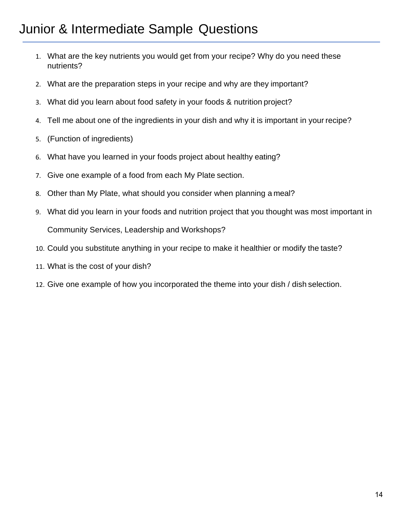# <span id="page-13-0"></span>Junior & Intermediate Sample Questions

- 1. What are the key nutrients you would get from your recipe? Why do you need these nutrients?
- 2. What are the preparation steps in your recipe and why are they important?
- 3. What did you learn about food safety in your foods & nutrition project?
- 4. Tell me about one of the ingredients in your dish and why it is important in your recipe?
- 5. (Function of ingredients)
- 6. What have you learned in your foods project about healthy eating?
- 7. Give one example of a food from each My Plate section.
- 8. Other than My Plate, what should you consider when planning a meal?
- 9. What did you learn in your foods and nutrition project that you thought was most important in Community Services, Leadership and Workshops?
- 10. Could you substitute anything in your recipe to make it healthier or modify the taste?
- 11. What is the cost of your dish?
- 12. Give one example of how you incorporated the theme into your dish / dish selection.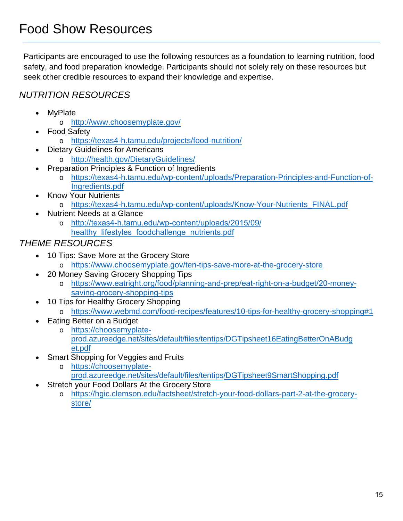<span id="page-14-0"></span>Participants are encouraged to use the following resources as a foundation to learning nutrition, food safety, and food preparation knowledge. Participants should not solely rely on these resources but seek other credible resources to expand their knowledge and expertise.

### *NUTRITION RESOURCES*

- **M**<sub>v</sub>Plate
	- o <http://www.choosemyplate.gov/>
- Food Safety
	- o <https://texas4-h.tamu.edu/projects/food-nutrition/>
- Dietary Guidelines for Americans
	- o <http://health.gov/DietaryGuidelines/>
- Preparation Principles & Function of Ingredients
	- o [https://texas4-h.tamu.edu/wp-content/uploads/Preparation-Principles-and-Function-of-](https://texas4-h.tamu.edu/wp-content/uploads/Preparation-Principles-and-Function-of-Ingredients.pdf)[Ingredients.pdf](https://texas4-h.tamu.edu/wp-content/uploads/Preparation-Principles-and-Function-of-Ingredients.pdf)
- Know Your Nutrients o [https://texas4-h.tamu.edu/wp-content/uploads/Know-Your-Nutrients\\_FINAL.pdf](https://texas4-h.tamu.edu/wp-content/uploads/Know-Your-Nutrients_FINAL.pdf)
- Nutrient Needs at a Glance
	- o [http://texas4-h.tamu.edu/wp-content/uploads/2015/09/](http://fcs.tamu.edu/food_and_nutrition/pdf/nutrient-needs-at-a-glance-%20E-589.pdf) healthy lifestyles foodchallenge nutrients.pdf

### *THEME RESOURCES*

- 10 Tips: Save More at the Grocery Store
	- o <https://www.choosemyplate.gov/ten-tips-save-more-at-the-grocery-store>
- 20 Money Saving Grocery Shopping Tips
	- o [https://www.eatright.org/food/planning-and-prep/eat-right-on-a-budget/20-money](https://www.eatright.org/food/planning-and-prep/eat-right-on-a-budget/20-money-saving-grocery-shoppingtips)savin[g-grocery-shopping-tips](https://www.eatright.org/food/planning-and-prep/eat-right-on-a-budget/20-money-saving-grocery-shoppingtips)
	- [10 Tips for Hea](https://www.eatright.org/food/planning-and-prep/eat-right-on-a-budget/20-money-saving-grocery-shoppingtips)lthy Grocery Shopping
		- o <https://www.webmd.com/food-recipes/features/10-tips-for-healthy-grocery-shopping#1>
- Eating Better on a Budget
	- o https://choosemyplate[prod.azureedge.net/sites/default/files/tentips/DGTipsheet16EatingBetterOnABudg](https://choosemyplate-prod.azureedge.net/sites/default/files/tentips/DGTipsheet16EatingBetterOnABudget.pdf) et.pdf
- [Smart](https://choosemyplate-prod.azureedge.net/sites/default/files/tentips/DGTipsheet16EatingBetterOnABudget.pdf) [Shopping for](https://choosemyplate-prod.azureedge.net/sites/default/files/tentips/DGTipsheet9SmartShopping.pdf) Veggies and Fruits
	- o https://choosemyplate[prod.azureedge.net/sites/default/files/tentips/DGTipsheet9SmartShoppin](https://choosemyplate-prod.azureedge.net/sites/default/files/tentips/DGTipsheet9SmartShopping.pdf)g.pdf
- Str[etch yo](https://choosemyplate-prod.azureedge.net/sites/default/files/tentips/DGTipsheet9SmartShopping.pdf)ur Food Dollars At the Grocery Store
	- o https://hgic.clemson.edu/factsheet/stretch-your-food-dollars-part-2-at-the-grocery[store/](https://hgic.clemson.edu/factsheet/stretch-your-food-dollars-part-2-at-the-grocery-store/)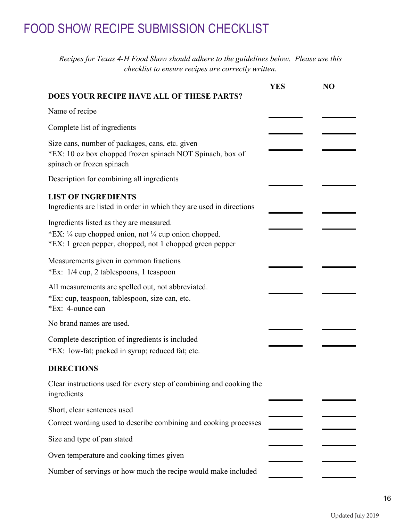## <span id="page-15-0"></span>FOOD SHOW RECIPE SUBMISSION CHECKLIST

*Recipes for Texas 4-H Food Show should adhere to the guidelines below. Please use this checklist to ensure recipes are correctly written.*

|                                                                                                                                                                | <b>YES</b> | N <sub>O</sub> |
|----------------------------------------------------------------------------------------------------------------------------------------------------------------|------------|----------------|
| DOES YOUR RECIPE HAVE ALL OF THESE PARTS?                                                                                                                      |            |                |
| Name of recipe                                                                                                                                                 |            |                |
| Complete list of ingredients                                                                                                                                   |            |                |
| Size cans, number of packages, cans, etc. given<br>*EX: 10 oz box chopped frozen spinach NOT Spinach, box of<br>spinach or frozen spinach                      |            |                |
| Description for combining all ingredients                                                                                                                      |            |                |
| <b>LIST OF INGREDIENTS</b><br>Ingredients are listed in order in which they are used in directions                                                             |            |                |
| Ingredients listed as they are measured.<br>*EX: 1/4 cup chopped onion, not 1/4 cup onion chopped.<br>*EX: 1 green pepper, chopped, not 1 chopped green pepper |            |                |
| Measurements given in common fractions<br>*Ex: 1/4 cup, 2 tablespoons, 1 teaspoon                                                                              |            |                |
| All measurements are spelled out, not abbreviated.<br>*Ex: cup, teaspoon, tablespoon, size can, etc.<br>*Ex: 4-ounce can                                       |            |                |
| No brand names are used.                                                                                                                                       |            |                |
| Complete description of ingredients is included<br>*EX: low-fat; packed in syrup; reduced fat; etc.                                                            |            |                |
| <b>DIRECTIONS</b>                                                                                                                                              |            |                |
| Clear instructions used for every step of combining and cooking the<br>ingredients                                                                             |            |                |
| Short, clear sentences used                                                                                                                                    |            |                |
| Correct wording used to describe combining and cooking processes                                                                                               |            |                |
| Size and type of pan stated                                                                                                                                    |            |                |
| Oven temperature and cooking times given                                                                                                                       |            |                |
| Number of servings or how much the recipe would make included                                                                                                  |            |                |

Updated July 2019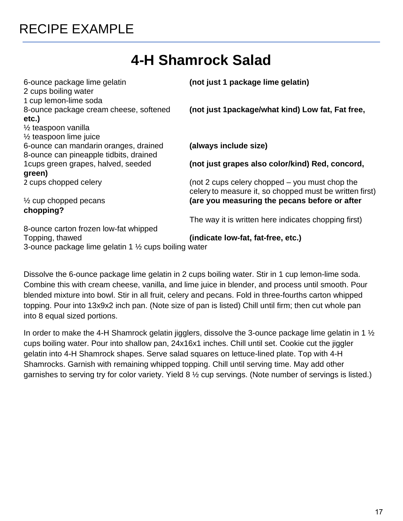# **4-H Shamrock Salad**

<span id="page-16-0"></span>

| 6-ounce package lime gelatin<br>2 cups boiling water<br>1 cup lemon-lime soda                                     | (not just 1 package lime gelatin)                                                                         |
|-------------------------------------------------------------------------------------------------------------------|-----------------------------------------------------------------------------------------------------------|
| 8-ounce package cream cheese, softened<br>etc.)                                                                   | (not just 1package/what kind) Low fat, Fat free,                                                          |
| $\frac{1}{2}$ teaspoon vanilla<br>$\frac{1}{2}$ teaspoon lime juice                                               |                                                                                                           |
| 6-ounce can mandarin oranges, drained<br>8-ounce can pineapple tidbits, drained                                   | (always include size)                                                                                     |
| 1 cups green grapes, halved, seeded<br>green)                                                                     | (not just grapes also color/kind) Red, concord,                                                           |
| 2 cups chopped celery                                                                                             | (not 2 cups celery chopped – you must chop the<br>celery to measure it, so chopped must be written first) |
| $\frac{1}{2}$ cup chopped pecans<br>chopping?                                                                     | (are you measuring the pecans before or after                                                             |
|                                                                                                                   | The way it is written here indicates chopping first)                                                      |
| 8-ounce carton frozen low-fat whipped<br>Topping, thawed<br>3-ounce package lime gelatin 1 1/2 cups boiling water | (indicate low-fat, fat-free, etc.)                                                                        |

Dissolve the 6-ounce package lime gelatin in 2 cups boiling water. Stir in 1 cup lemon-lime soda. Combine this with cream cheese, vanilla, and lime juice in blender, and process until smooth. Pour blended mixture into bowl. Stir in all fruit, celery and pecans. Fold in three-fourths carton whipped topping. Pour into 13x9x2 inch pan. (Note size of pan is listed) Chill until firm; then cut whole pan into 8 equal sized portions.

In order to make the 4-H Shamrock gelatin jigglers, dissolve the 3-ounce package lime gelatin in 1  $\frac{1}{2}$ cups boiling water. Pour into shallow pan, 24x16x1 inches. Chill until set. Cookie cut the jiggler gelatin into 4-H Shamrock shapes. Serve salad squares on lettuce-lined plate. Top with 4-H Shamrocks. Garnish with remaining whipped topping. Chill until serving time. May add other garnishes to serving try for color variety. Yield 8 ½ cup servings. (Note number of servings is listed.)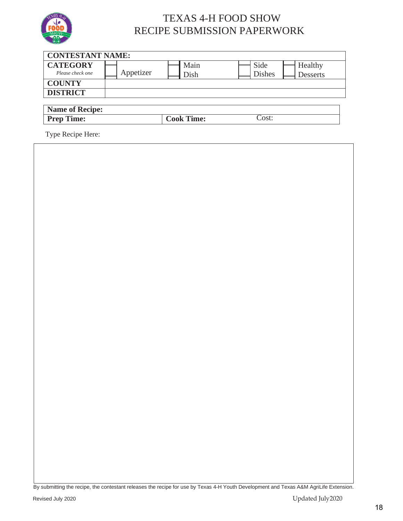<span id="page-17-0"></span>

### TEXAS 4-H FOOD SHOW RECIPE SUBMISSION PAPERWORK

| <b>CONTESTANT NAME:</b>             |           |                   |                       |                            |
|-------------------------------------|-----------|-------------------|-----------------------|----------------------------|
| <b>CATEGORY</b><br>Please check one | Appetizer | Main<br>Dish      | Side<br><b>Dishes</b> | Healthy<br><b>Desserts</b> |
| <b>COUNTY</b>                       |           |                   |                       |                            |
| <b>DISTRICT</b>                     |           |                   |                       |                            |
| <b>Name of Recipe:</b>              |           |                   |                       |                            |
| <b>Prep Time:</b>                   |           | <b>Cook Time:</b> | Cost:                 |                            |
|                                     |           |                   |                       |                            |

Type Recipe Here:

By submitting the recipe, the contestant releases the recipe for use by Texas 4-H Youth Development and Texas A&M AgriLife Extension.